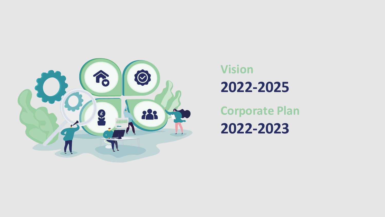

# **Vision 2022-2025**

**Corporate Plan 2022-2023**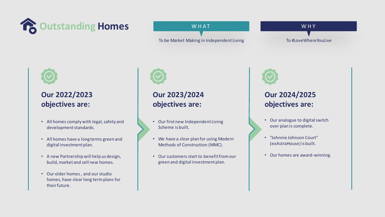

#### WHAT

To be Market Making in Independent Living

W H Y To #LoveWhereYouLive



#### **Our 2022/2023 objectives are:**

- All homes comply with legal, safety and development standards.
- All homes have a long terms green and digital investment plan.
- A new Partnership will help us design, build, market and sell new homes.
- Our older homes , and our studio homes, have clear long term plans for their future.



## **Our 2023/2024 objectives are:**

- Our first new Independent Living Scheme is built.
- We have a clear plan for using Modern Methods of Construction (MMC).
- Our customers start to benefit from our green and digital investment plan.



#### **Our 2024/2025 objectives are:**

- Our analogue to digital switch over plan is complete.
- "Johnnie Johnson Court" (exAstraHouse) is built.
- Our homes are award-winning.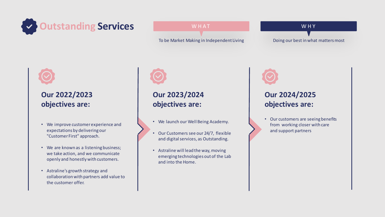

#### WHAT

To be Market Making in Independent Living

W H Y Doing our best in what matters most



#### **Our 2022/2023 objectives are:**

- We improve customer experience and expectations by delivering our "Customer First" approach.
- We are known as a listening business; we take action, and we communicate openly and honestly with customers.
- Astraline's growth strategy and collaboration with partners add value to the customer offer.



## **Our 2023/2024 objectives are:**

- We launch our Well Being Academy.
- Our Customers see our 24/7, flexible and digital services, as Outstanding.
- Astraline will lead the way, moving emerging technologies out of the Lab and into the Home.



#### **Our 2024/2025 objectives are:**

• Our customers are seeing benefits from working closer with care and support partners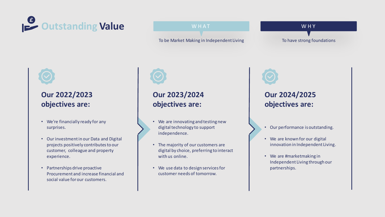

#### W H A T

To be Market Making in Independent Living

W H Y To have strong foundations



#### **Our 2022/2023 objectives are:**

- We're financially ready for any surprises.
- Our investment in our Data and Digital projects positively contributes to our customer, colleague and property experience.
- Partnerships drive proactive Procurement and increase financial and social value for our customers.



## **Our 2023/2024 objectives are:**

- We are innovating and testing new digital technology to support independence.
- The majority of our customers are digital by choice, preferring to interact with us online.
- We use data to design services for customer needs of tomorrow.



#### **Our 2024/2025 objectives are:**

- Our performance is outstanding.
- We are known for our digital innovation in Independent Living.
- We are #marketmaking in Independent Living through our partnerships.